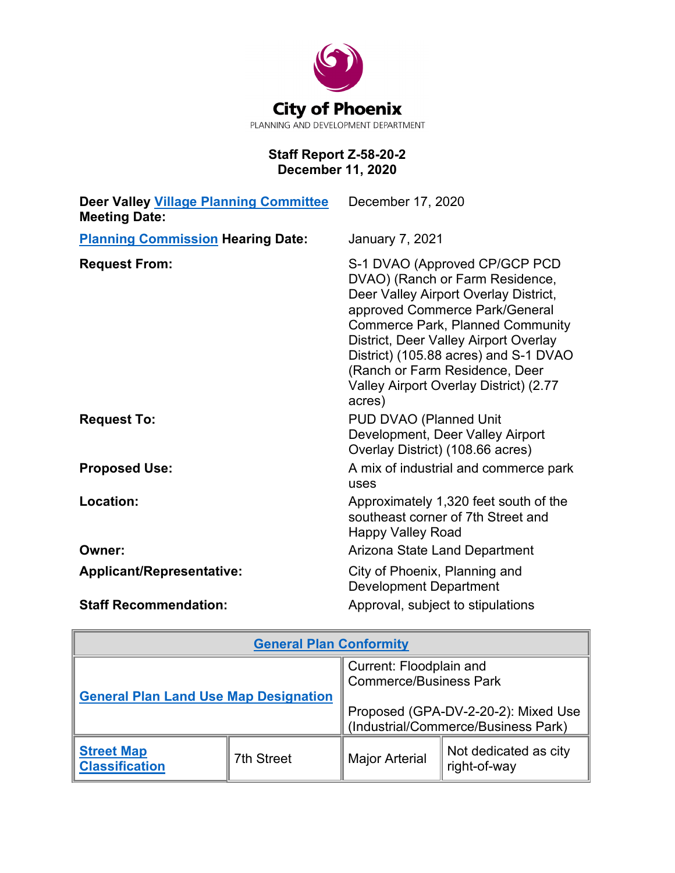

# **Staff Report Z-58-20-2 December 11, 2020**

| <b>Deer Valley Village Planning Committee</b><br><b>Meeting Date:</b> | December 17, 2020                                                                                                                                                                                                                                                                                                                                              |
|-----------------------------------------------------------------------|----------------------------------------------------------------------------------------------------------------------------------------------------------------------------------------------------------------------------------------------------------------------------------------------------------------------------------------------------------------|
| <b>Planning Commission Hearing Date:</b>                              | <b>January 7, 2021</b>                                                                                                                                                                                                                                                                                                                                         |
| <b>Request From:</b>                                                  | S-1 DVAO (Approved CP/GCP PCD<br>DVAO) (Ranch or Farm Residence,<br>Deer Valley Airport Overlay District,<br>approved Commerce Park/General<br><b>Commerce Park, Planned Community</b><br>District, Deer Valley Airport Overlay<br>District) (105.88 acres) and S-1 DVAO<br>(Ranch or Farm Residence, Deer<br>Valley Airport Overlay District) (2.77<br>acres) |
| <b>Request To:</b>                                                    | PUD DVAO (Planned Unit<br>Development, Deer Valley Airport<br>Overlay District) (108.66 acres)                                                                                                                                                                                                                                                                 |
| <b>Proposed Use:</b>                                                  | A mix of industrial and commerce park<br>uses                                                                                                                                                                                                                                                                                                                  |
| Location:                                                             | Approximately 1,320 feet south of the<br>southeast corner of 7th Street and<br><b>Happy Valley Road</b>                                                                                                                                                                                                                                                        |
| Owner:                                                                | Arizona State Land Department                                                                                                                                                                                                                                                                                                                                  |
| <b>Applicant/Representative:</b>                                      | City of Phoenix, Planning and<br><b>Development Department</b>                                                                                                                                                                                                                                                                                                 |
| <b>Staff Recommendation:</b>                                          | Approval, subject to stipulations                                                                                                                                                                                                                                                                                                                              |

| <b>General Plan Conformity</b>               |                   |                                                                            |                                       |  |  |
|----------------------------------------------|-------------------|----------------------------------------------------------------------------|---------------------------------------|--|--|
| <b>General Plan Land Use Map Designation</b> |                   | Current: Floodplain and<br><b>Commerce/Business Park</b>                   |                                       |  |  |
|                                              |                   | Proposed (GPA-DV-2-20-2): Mixed Use<br>(Industrial/Commerce/Business Park) |                                       |  |  |
| <b>Street Map</b><br><b>Classification</b>   | <b>7th Street</b> | <b>Major Arterial</b>                                                      | Not dedicated as city<br>right-of-way |  |  |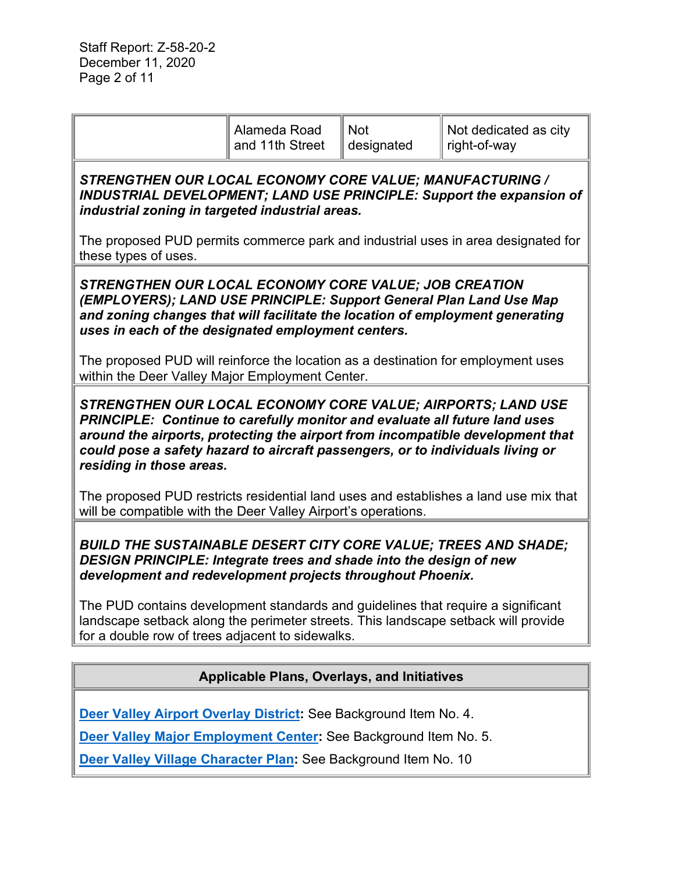|                                                                                                                                                                                                                                                                                                                                                                                                                                                                                             | Alameda Road<br>and 11th Street | <b>Not</b><br>designated | Not dedicated as city<br>right-of-way |  |  |  |
|---------------------------------------------------------------------------------------------------------------------------------------------------------------------------------------------------------------------------------------------------------------------------------------------------------------------------------------------------------------------------------------------------------------------------------------------------------------------------------------------|---------------------------------|--------------------------|---------------------------------------|--|--|--|
| STRENGTHEN OUR LOCAL ECONOMY CORE VALUE; MANUFACTURING /<br>INDUSTRIAL DEVELOPMENT; LAND USE PRINCIPLE: Support the expansion of<br>industrial zoning in targeted industrial areas.<br>The proposed PUD permits commerce park and industrial uses in area designated for<br>these types of uses.                                                                                                                                                                                            |                                 |                          |                                       |  |  |  |
| STRENGTHEN OUR LOCAL ECONOMY CORE VALUE; JOB CREATION<br>(EMPLOYERS); LAND USE PRINCIPLE: Support General Plan Land Use Map<br>and zoning changes that will facilitate the location of employment generating<br>uses in each of the designated employment centers.<br>The proposed PUD will reinforce the location as a destination for employment uses                                                                                                                                     |                                 |                          |                                       |  |  |  |
| within the Deer Valley Major Employment Center.<br><b>STRENGTHEN OUR LOCAL ECONOMY CORE VALUE; AIRPORTS; LAND USE</b><br>PRINCIPLE: Continue to carefully monitor and evaluate all future land uses<br>around the airports, protecting the airport from incompatible development that<br>could pose a safety hazard to aircraft passengers, or to individuals living or<br>residing in those areas.<br>The proposed PUD restricts residential land uses and establishes a land use mix that |                                 |                          |                                       |  |  |  |
| will be compatible with the Deer Valley Airport's operations.<br><b>BUILD THE SUSTAINABLE DESERT CITY CORE VALUE; TREES AND SHADE;</b><br>DESIGN PRINCIPLE: Integrate trees and shade into the design of new<br>development and redevelopment projects throughout Phoenix.                                                                                                                                                                                                                  |                                 |                          |                                       |  |  |  |
| The PUD contains development standards and guidelines that require a significant<br>landscape setback along the perimeter streets. This landscape setback will provide<br>for a double row of trees adjacent to sidewalks.                                                                                                                                                                                                                                                                  |                                 |                          |                                       |  |  |  |
| <b>Applicable Plans, Overlays, and Initiatives</b>                                                                                                                                                                                                                                                                                                                                                                                                                                          |                                 |                          |                                       |  |  |  |
| Deer Valley Airport Overlay District: See Background Item No. 4.                                                                                                                                                                                                                                                                                                                                                                                                                            |                                 |                          |                                       |  |  |  |

**[Deer Valley Major Employment Center:](https://www.phoenix.gov/pddsite/Documents/PlanPHX_Major_Emp_Cntrs.pdf)** See Background Item No. 5.

**[Deer Valley Village Character Plan:](https://www.phoenix.gov/villagessite/Documents/pdd_pz_pdf_00472.pdf)** See Background Item No. 10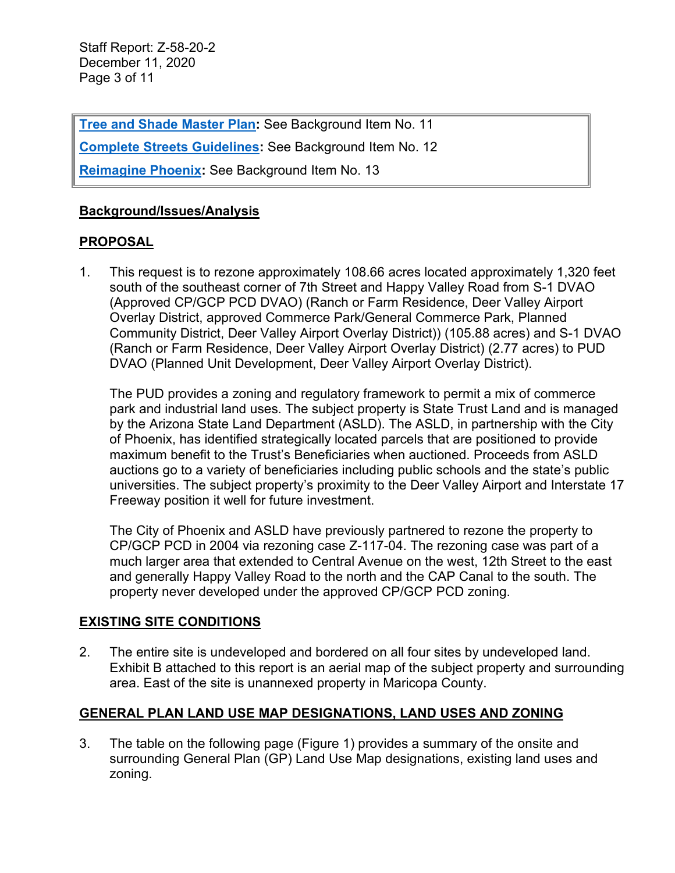Staff Report: Z-58-20-2 December 11, 2020 Page 3 of 11

**Tree and [Shade Master Plan:](https://www.phoenix.gov/parks/parks/urban-forest/tree-and-shade)** See Background Item No. 11

**[Complete Streets Guidelines:](https://www.phoenix.gov/streets/complete-streets-program) See Background Item No. 12** 

**[Reimagine Phoenix:](https://www.phoenix.gov/publicworks/reimagine)** See Background Item No. 13

## **Background/Issues/Analysis**

### **PROPOSAL**

1. This request is to rezone approximately 108.66 acres located approximately 1,320 feet south of the southeast corner of 7th Street and Happy Valley Road from S-1 DVAO (Approved CP/GCP PCD DVAO) (Ranch or Farm Residence, Deer Valley Airport Overlay District, approved Commerce Park/General Commerce Park, Planned Community District, Deer Valley Airport Overlay District)) (105.88 acres) and S-1 DVAO (Ranch or Farm Residence, Deer Valley Airport Overlay District) (2.77 acres) to PUD DVAO (Planned Unit Development, Deer Valley Airport Overlay District).

The PUD provides a zoning and regulatory framework to permit a mix of commerce park and industrial land uses. The subject property is State Trust Land and is managed by the Arizona State Land Department (ASLD). The ASLD, in partnership with the City of Phoenix, has identified strategically located parcels that are positioned to provide maximum benefit to the Trust's Beneficiaries when auctioned. Proceeds from ASLD auctions go to a variety of beneficiaries including public schools and the state's public universities. The subject property's proximity to the Deer Valley Airport and Interstate 17 Freeway position it well for future investment.

The City of Phoenix and ASLD have previously partnered to rezone the property to CP/GCP PCD in 2004 via rezoning case Z-117-04. The rezoning case was part of a much larger area that extended to Central Avenue on the west, 12th Street to the east and generally Happy Valley Road to the north and the CAP Canal to the south. The property never developed under the approved CP/GCP PCD zoning.

### **EXISTING SITE CONDITIONS**

2. The entire site is undeveloped and bordered on all four sites by undeveloped land. Exhibit B attached to this report is an aerial map of the subject property and surrounding area. East of the site is unannexed property in Maricopa County.

# **GENERAL PLAN LAND USE MAP DESIGNATIONS, LAND USES AND ZONING**

3. The table on the following page (Figure 1) provides a summary of the onsite and surrounding General Plan (GP) Land Use Map designations, existing land uses and zoning.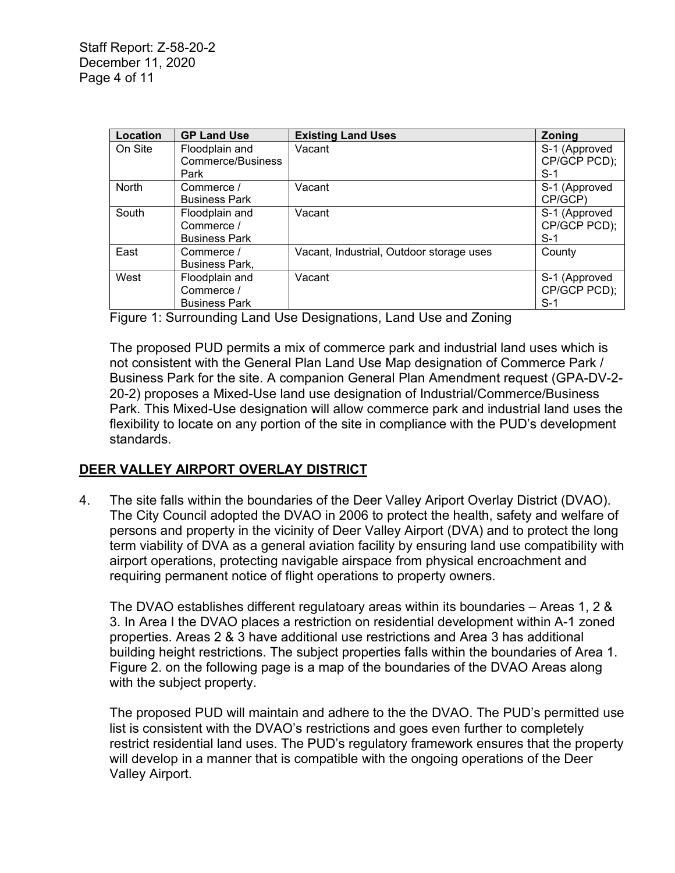| Location     | <b>GP Land Use</b>    | <b>Existing Land Uses</b>                | <b>Zoning</b> |
|--------------|-----------------------|------------------------------------------|---------------|
| On Site      | Floodplain and        | Vacant                                   | S-1 (Approved |
|              | Commerce/Business     |                                          | CP/GCP PCD);  |
|              | Park                  |                                          | $S-1$         |
| <b>North</b> | Commerce /            | Vacant                                   | S-1 (Approved |
|              | <b>Business Park</b>  |                                          | CP/GCP)       |
| South        | Floodplain and        | Vacant                                   | S-1 (Approved |
|              | Commerce /            |                                          | CP/GCP PCD);  |
|              | <b>Business Park</b>  |                                          | $S-1$         |
| East         | Commerce /            | Vacant, Industrial, Outdoor storage uses | County        |
|              | <b>Business Park,</b> |                                          |               |
| West         | Floodplain and        | Vacant                                   | S-1 (Approved |
|              | Commerce /            |                                          | CP/GCP PCD);  |
|              | <b>Business Park</b>  |                                          | S-1           |

Figure 1: Surrounding Land Use Designations, Land Use and Zoning

The proposed PUD permits a mix of commerce park and industrial land uses which is not consistent with the General Plan Land Use Map designation of Commerce Park / Business Park for the site. A companion General Plan Amendment request (GPA-DV-2- 20-2) proposes a Mixed-Use land use designation of Industrial/Commerce/Business Park. This Mixed-Use designation will allow commerce park and industrial land uses the flexibility to locate on any portion of the site in compliance with the PUD's development standards.

### **DEER VALLEY AIRPORT OVERLAY DISTRICT**

4. The site falls within the boundaries of the Deer Valley Ariport Overlay District (DVAO). The City Council adopted the DVAO in 2006 to protect the health, safety and welfare of persons and property in the vicinity of Deer Valley Airport (DVA) and to protect the long term viability of DVA as a general aviation facility by ensuring land use compatibility with airport operations, protecting navigable airspace from physical encroachment and requiring permanent notice of flight operations to property owners.

The DVAO establishes different regulatoary areas within its boundaries – Areas 1, 2 & 3. In Area I the DVAO places a restriction on residential development within A-1 zoned properties. Areas 2 & 3 have additional use restrictions and Area 3 has additional building height restrictions. The subject properties falls within the boundaries of Area 1. Figure 2. on the following page is a map of the boundaries of the DVAO Areas along with the subject property.

The proposed PUD will maintain and adhere to the the DVAO. The PUD's permitted use list is consistent with the DVAO's restrictions and goes even further to completely restrict residential land uses. The PUD's regulatory framework ensures that the property will develop in a manner that is compatible with the ongoing operations of the Deer Valley Airport.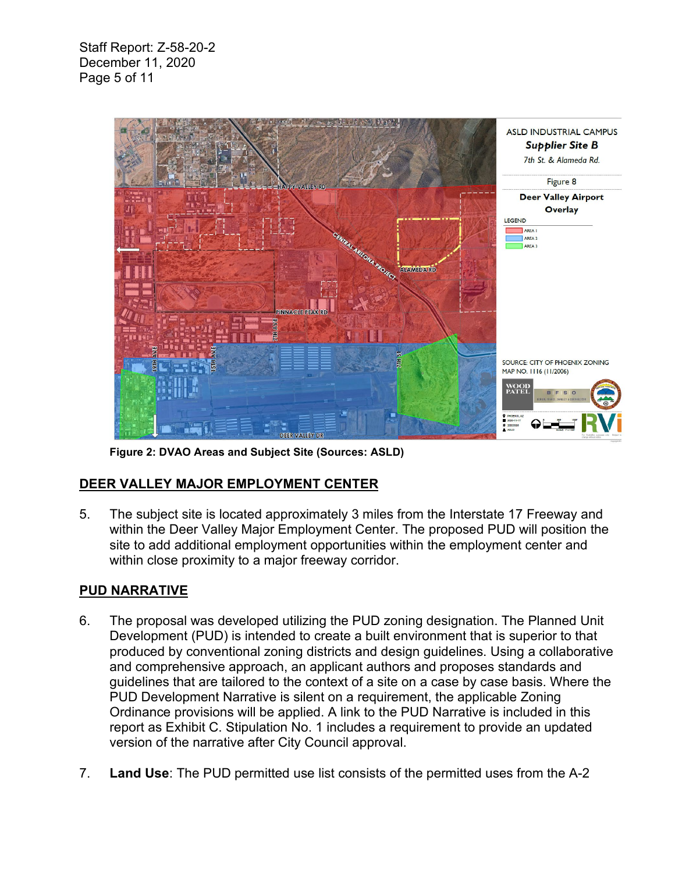Staff Report: Z-58-20-2 December 11, 2020 Page 5 of 11



**Figure 2: DVAO Areas and Subject Site (Sources: ASLD)**

# **DEER VALLEY MAJOR EMPLOYMENT CENTER**

5. The subject site is located approximately 3 miles from the Interstate 17 Freeway and within the Deer Valley Major Employment Center. The proposed PUD will position the site to add additional employment opportunities within the employment center and within close proximity to a major freeway corridor.

# **PUD NARRATIVE**

- 6. The proposal was developed utilizing the PUD zoning designation. The Planned Unit Development (PUD) is intended to create a built environment that is superior to that produced by conventional zoning districts and design guidelines. Using a collaborative and comprehensive approach, an applicant authors and proposes standards and guidelines that are tailored to the context of a site on a case by case basis. Where the PUD Development Narrative is silent on a requirement, the applicable Zoning Ordinance provisions will be applied. A link to the PUD Narrative is included in this report as Exhibit C. Stipulation No. 1 includes a requirement to provide an updated version of the narrative after City Council approval.
- 7. **Land Use**: The PUD permitted use list consists of the permitted uses from the A-2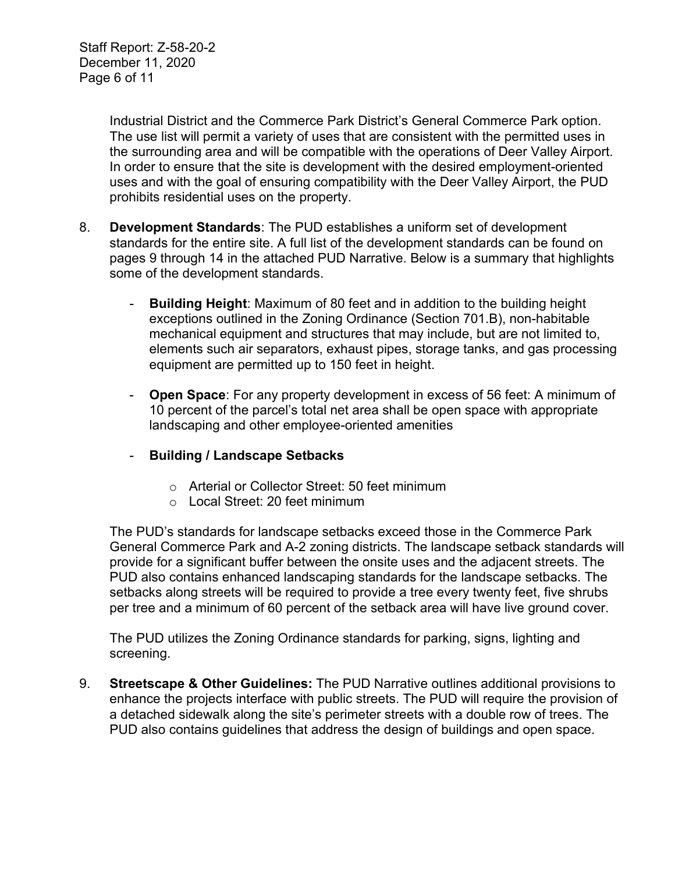Staff Report: Z-58-20-2 December 11, 2020 Page 6 of 11

> Industrial District and the Commerce Park District's General Commerce Park option. The use list will permit a variety of uses that are consistent with the permitted uses in the surrounding area and will be compatible with the operations of Deer Valley Airport. In order to ensure that the site is development with the desired employment-oriented uses and with the goal of ensuring compatibility with the Deer Valley Airport, the PUD prohibits residential uses on the property.

- 8. **Development Standards**: The PUD establishes a uniform set of development standards for the entire site. A full list of the development standards can be found on pages 9 through 14 in the attached PUD Narrative. Below is a summary that highlights some of the development standards.
	- **Building Height**: Maximum of 80 feet and in addition to the building height exceptions outlined in the Zoning Ordinance (Section 701.B), non-habitable mechanical equipment and structures that may include, but are not limited to, elements such air separators, exhaust pipes, storage tanks, and gas processing equipment are permitted up to 150 feet in height.
	- **Open Space**: For any property development in excess of 56 feet: A minimum of 10 percent of the parcel's total net area shall be open space with appropriate landscaping and other employee-oriented amenities
	- **Building / Landscape Setbacks**
		- o Arterial or Collector Street: 50 feet minimum
		- o Local Street: 20 feet minimum

The PUD's standards for landscape setbacks exceed those in the Commerce Park General Commerce Park and A-2 zoning districts. The landscape setback standards will provide for a significant buffer between the onsite uses and the adjacent streets. The PUD also contains enhanced landscaping standards for the landscape setbacks. The setbacks along streets will be required to provide a tree every twenty feet, five shrubs per tree and a minimum of 60 percent of the setback area will have live ground cover.

The PUD utilizes the Zoning Ordinance standards for parking, signs, lighting and screening.

9. **Streetscape & Other Guidelines:** The PUD Narrative outlines additional provisions to enhance the projects interface with public streets. The PUD will require the provision of a detached sidewalk along the site's perimeter streets with a double row of trees. The PUD also contains guidelines that address the design of buildings and open space.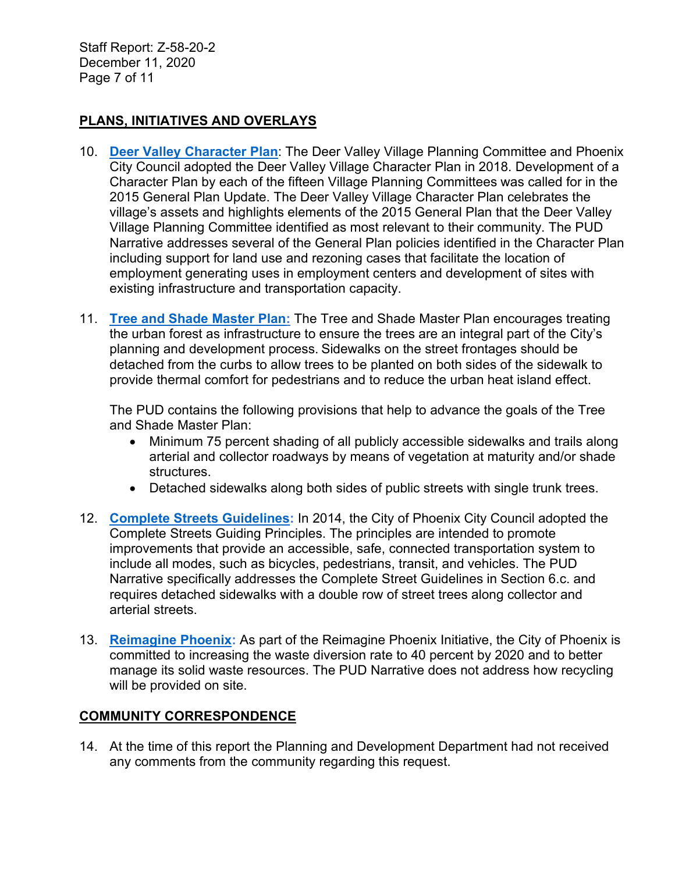Staff Report: Z-58-20-2 December 11, 2020 Page 7 of 11

## **PLANS, INITIATIVES AND OVERLAYS**

- 10. **[Deer Valley Character Plan](https://www.phoenix.gov/villagessite/Documents/pdd_pz_pdf_00472.pdf)**: The Deer Valley Village Planning Committee and Phoenix City Council adopted the Deer Valley Village Character Plan in 2018. Development of a Character Plan by each of the fifteen Village Planning Committees was called for in the 2015 General Plan Update. The Deer Valley Village Character Plan celebrates the village's assets and highlights elements of the 2015 General Plan that the Deer Valley Village Planning Committee identified as most relevant to their community. The PUD Narrative addresses several of the General Plan policies identified in the Character Plan including support for land use and rezoning cases that facilitate the location of employment generating uses in employment centers and development of sites with existing infrastructure and transportation capacity.
- 11. **[Tree and Shade Master Plan:](https://www.phoenix.gov/parks/parks/urban-forest/tree-and-shade)** The Tree and Shade Master Plan encourages treating the urban forest as infrastructure to ensure the trees are an integral part of the City's planning and development process. Sidewalks on the street frontages should be detached from the curbs to allow trees to be planted on both sides of the sidewalk to provide thermal comfort for pedestrians and to reduce the urban heat island effect.

The PUD contains the following provisions that help to advance the goals of the Tree and Shade Master Plan:

- Minimum 75 percent shading of all publicly accessible sidewalks and trails along arterial and collector roadways by means of vegetation at maturity and/or shade structures.
- Detached sidewalks along both sides of public streets with single trunk trees.
- 12. **[Complete Streets](https://www.phoenix.gov/streets/complete-streets-program) Guidelines:** In 2014, the City of Phoenix City Council adopted the Complete Streets Guiding Principles. The principles are intended to promote improvements that provide an accessible, safe, connected transportation system to include all modes, such as bicycles, pedestrians, transit, and vehicles. The PUD Narrative specifically addresses the Complete Street Guidelines in Section 6.c. and requires detached sidewalks with a double row of street trees along collector and arterial streets.
- 13. **[Reimagine Phoenix:](https://www.phoenix.gov/publicworks/reimagine)** As part of the Reimagine Phoenix Initiative, the City of Phoenix is committed to increasing the waste diversion rate to 40 percent by 2020 and to better manage its solid waste resources. The PUD Narrative does not address how recycling will be provided on site.

### **COMMUNITY CORRESPONDENCE**

14. At the time of this report the Planning and Development Department had not received any comments from the community regarding this request.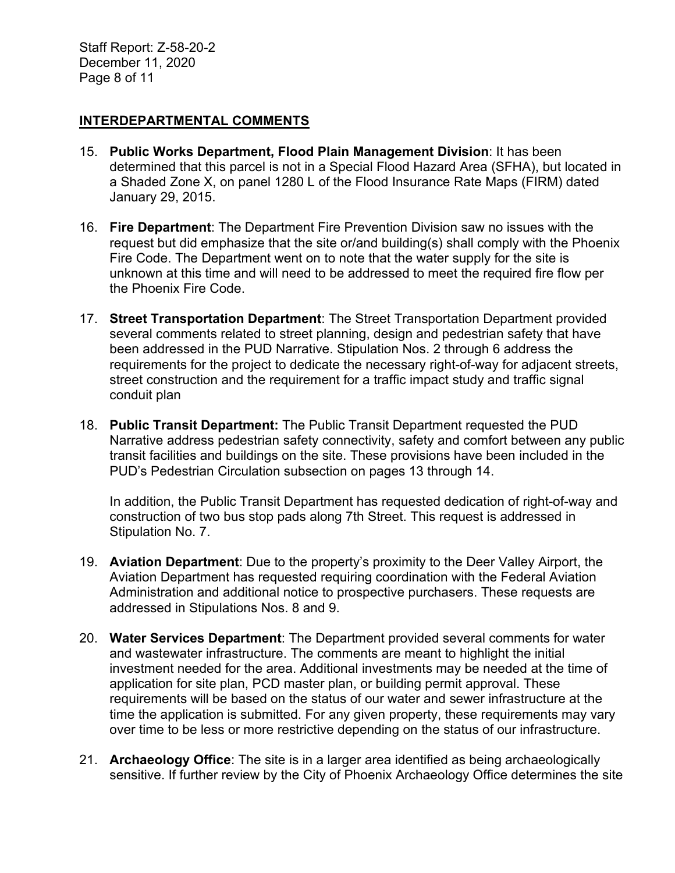Staff Report: Z-58-20-2 December 11, 2020 Page 8 of 11

#### **INTERDEPARTMENTAL COMMENTS**

- 15. **Public Works Department, Flood Plain Management Division**: It has been determined that this parcel is not in a Special Flood Hazard Area (SFHA), but located in a Shaded Zone X, on panel 1280 L of the Flood Insurance Rate Maps (FIRM) dated January 29, 2015.
- 16. **Fire Department**: The Department Fire Prevention Division saw no issues with the request but did emphasize that the site or/and building(s) shall comply with the Phoenix Fire Code. The Department went on to note that the water supply for the site is unknown at this time and will need to be addressed to meet the required fire flow per the Phoenix Fire Code.
- 17. **Street Transportation Department**: The Street Transportation Department provided several comments related to street planning, design and pedestrian safety that have been addressed in the PUD Narrative. Stipulation Nos. 2 through 6 address the requirements for the project to dedicate the necessary right-of-way for adjacent streets, street construction and the requirement for a traffic impact study and traffic signal conduit plan
- 18. **Public Transit Department:** The Public Transit Department requested the PUD Narrative address pedestrian safety connectivity, safety and comfort between any public transit facilities and buildings on the site. These provisions have been included in the PUD's Pedestrian Circulation subsection on pages 13 through 14.

In addition, the Public Transit Department has requested dedication of right-of-way and construction of two bus stop pads along 7th Street. This request is addressed in Stipulation No. 7.

- 19. **Aviation Department**: Due to the property's proximity to the Deer Valley Airport, the Aviation Department has requested requiring coordination with the Federal Aviation Administration and additional notice to prospective purchasers. These requests are addressed in Stipulations Nos. 8 and 9.
- 20. **Water Services Department**: The Department provided several comments for water and wastewater infrastructure. The comments are meant to highlight the initial investment needed for the area. Additional investments may be needed at the time of application for site plan, PCD master plan, or building permit approval. These requirements will be based on the status of our water and sewer infrastructure at the time the application is submitted. For any given property, these requirements may vary over time to be less or more restrictive depending on the status of our infrastructure.
- 21. **Archaeology Office**: The site is in a larger area identified as being archaeologically sensitive. If further review by the City of Phoenix Archaeology Office determines the site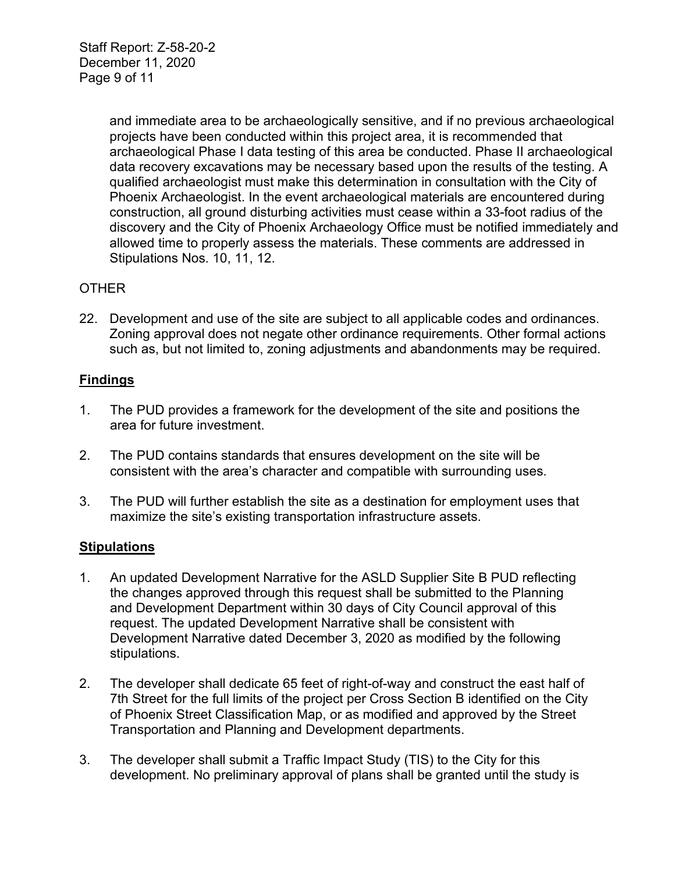Staff Report: Z-58-20-2 December 11, 2020 Page 9 of 11

> and immediate area to be archaeologically sensitive, and if no previous archaeological projects have been conducted within this project area, it is recommended that archaeological Phase I data testing of this area be conducted. Phase II archaeological data recovery excavations may be necessary based upon the results of the testing. A qualified archaeologist must make this determination in consultation with the City of Phoenix Archaeologist. In the event archaeological materials are encountered during construction, all ground disturbing activities must cease within a 33-foot radius of the discovery and the City of Phoenix Archaeology Office must be notified immediately and allowed time to properly assess the materials. These comments are addressed in Stipulations Nos. 10, 11, 12.

#### **OTHER**

22. Development and use of the site are subject to all applicable codes and ordinances. Zoning approval does not negate other ordinance requirements. Other formal actions such as, but not limited to, zoning adjustments and abandonments may be required.

#### **Findings**

- 1. The PUD provides a framework for the development of the site and positions the area for future investment.
- 2. The PUD contains standards that ensures development on the site will be consistent with the area's character and compatible with surrounding uses.
- 3. The PUD will further establish the site as a destination for employment uses that maximize the site's existing transportation infrastructure assets.

#### **Stipulations**

- 1. An updated Development Narrative for the ASLD Supplier Site B PUD reflecting the changes approved through this request shall be submitted to the Planning and Development Department within 30 days of City Council approval of this request. The updated Development Narrative shall be consistent with Development Narrative dated December 3, 2020 as modified by the following stipulations.
- 2. The developer shall dedicate 65 feet of right-of-way and construct the east half of 7th Street for the full limits of the project per Cross Section B identified on the City of Phoenix Street Classification Map, or as modified and approved by the Street Transportation and Planning and Development departments.
- 3. The developer shall submit a Traffic Impact Study (TIS) to the City for this development. No preliminary approval of plans shall be granted until the study is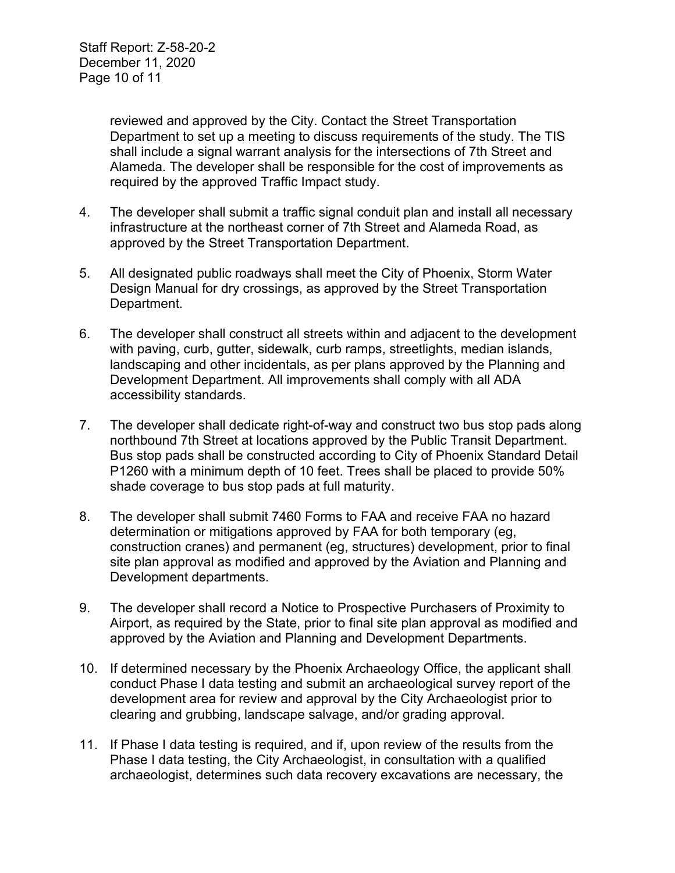reviewed and approved by the City. Contact the Street Transportation Department to set up a meeting to discuss requirements of the study. The TIS shall include a signal warrant analysis for the intersections of 7th Street and Alameda. The developer shall be responsible for the cost of improvements as required by the approved Traffic Impact study.

- 4. The developer shall submit a traffic signal conduit plan and install all necessary infrastructure at the northeast corner of 7th Street and Alameda Road, as approved by the Street Transportation Department.
- 5. All designated public roadways shall meet the City of Phoenix, Storm Water Design Manual for dry crossings, as approved by the Street Transportation Department.
- 6. The developer shall construct all streets within and adjacent to the development with paving, curb, gutter, sidewalk, curb ramps, streetlights, median islands, landscaping and other incidentals, as per plans approved by the Planning and Development Department. All improvements shall comply with all ADA accessibility standards.
- 7. The developer shall dedicate right-of-way and construct two bus stop pads along northbound 7th Street at locations approved by the Public Transit Department. Bus stop pads shall be constructed according to City of Phoenix Standard Detail P1260 with a minimum depth of 10 feet. Trees shall be placed to provide 50% shade coverage to bus stop pads at full maturity.
- 8. The developer shall submit 7460 Forms to FAA and receive FAA no hazard determination or mitigations approved by FAA for both temporary (eg, construction cranes) and permanent (eg, structures) development, prior to final site plan approval as modified and approved by the Aviation and Planning and Development departments.
- 9. The developer shall record a Notice to Prospective Purchasers of Proximity to Airport, as required by the State, prior to final site plan approval as modified and approved by the Aviation and Planning and Development Departments.
- 10. If determined necessary by the Phoenix Archaeology Office, the applicant shall conduct Phase I data testing and submit an archaeological survey report of the development area for review and approval by the City Archaeologist prior to clearing and grubbing, landscape salvage, and/or grading approval.
- 11. If Phase I data testing is required, and if, upon review of the results from the Phase I data testing, the City Archaeologist, in consultation with a qualified archaeologist, determines such data recovery excavations are necessary, the